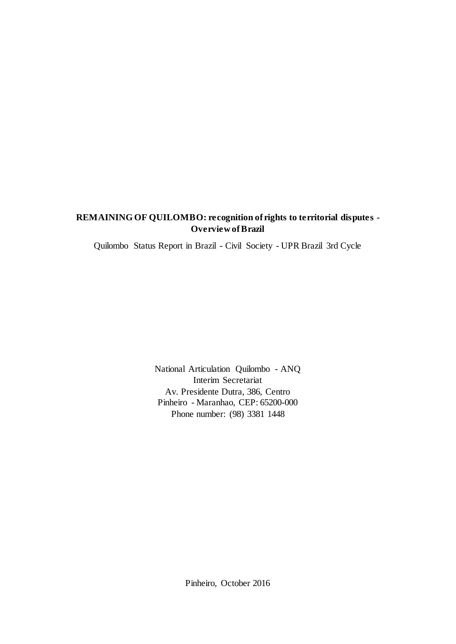# **REMAINING OF QUILOMBO: recognition of rights to territorial disputes - Overview of Brazil**

Quilombo Status Report in Brazil - Civil Society - UPR Brazil 3rd Cycle

National Articulation Quilombo - ANQ Interim Secretariat Av. Presidente Dutra, 386, Centro Pinheiro - Maranhao, CEP: 65200-000 Phone number: (98) 3381 1448

Pinheiro, October 2016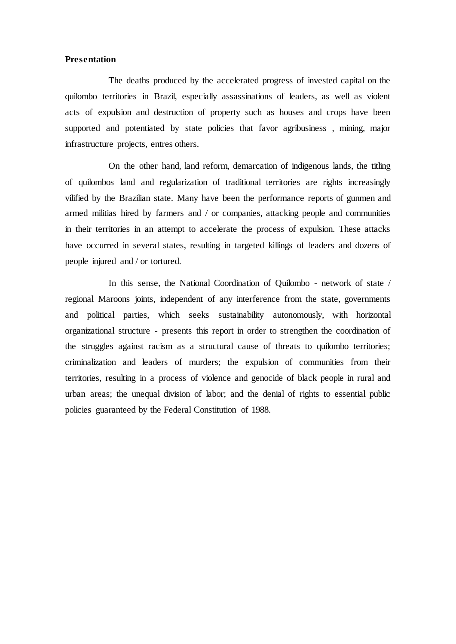# **Presentation**

The deaths produced by the accelerated progress of invested capital on the quilombo territories in Brazil, especially assassinations of leaders, as well as violent acts of expulsion and destruction of property such as houses and crops have been supported and potentiated by state policies that favor agribusiness , mining, major infrastructure projects, entres others.

On the other hand, land reform, demarcation of indigenous lands, the titling of quilombos land and regularization of traditional territories are rights increasingly vilified by the Brazilian state. Many have been the performance reports of gunmen and armed militias hired by farmers and / or companies, attacking people and communities in their territories in an attempt to accelerate the process of expulsion. These attacks have occurred in several states, resulting in targeted killings of leaders and dozens of people injured and / or tortured.

In this sense, the National Coordination of Quilombo - network of state / regional Maroons joints, independent of any interference from the state, governments and political parties, which seeks sustainability autonomously, with horizontal organizational structure - presents this report in order to strengthen the coordination of the struggles against racism as a structural cause of threats to quilombo territories; criminalization and leaders of murders; the expulsion of communities from their territories, resulting in a process of violence and genocide of black people in rural and urban areas; the unequal division of labor; and the denial of rights to essential public policies guaranteed by the Federal Constitution of 1988.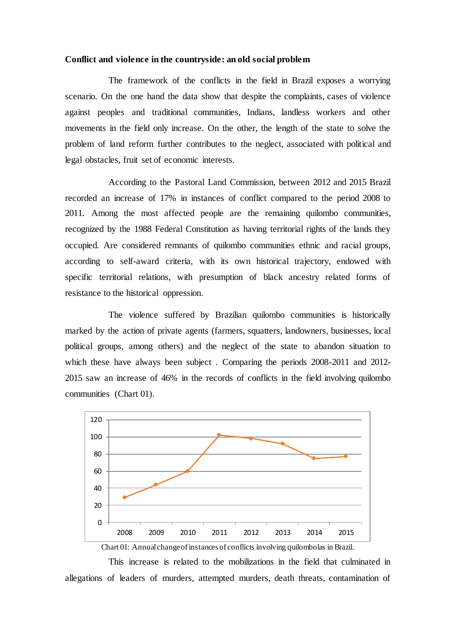#### **Conflict and violence in the countryside: an old social problem**

The framework of the conflicts in the field in Brazil exposes a worrying scenario. On the one hand the data show that despite the complaints, cases of violence against peoples and traditional communities, Indians, landless workers and other movements in the field only increase. On the other, the length of the state to solve the problem of land reform further contributes to the neglect, associated with political and legal obstacles, fruit set of economic interests.

According to the Pastoral Land Commission, between 2012 and 2015 Brazil recorded an increase of 17% in instances of conflict compared to the period 2008 to 2011. Among the most affected people are the remaining quilombo communities, recognized by the 1988 Federal Constitution as having territorial rights of the lands they occupied. Are considered remnants of quilombo communities ethnic and racial groups, according to self-award criteria, with its own historical trajectory, endowed with specific territorial relations, with presumption of black ancestry related forms of resistance to the historical oppression.

The violence suffered by Brazilian quilombo communities is historically marked by the action of private agents (farmers, squatters, landowners, businesses, local political groups, among others) and the neglect of the state to abandon situation to which these have always been subject. Comparing the periods  $2008-2011$  and  $2012-$ 2015 saw an increase of 46% in the records of conflicts in the field involving quilombo communities (Chart 01).



Chart 01: Annual change of instances of conflicts involving quilombolas in Brazil.

This increase is related to the mobilizations in the field that culminated in allegations of leaders of murders, attempted murders, death threats, contamination of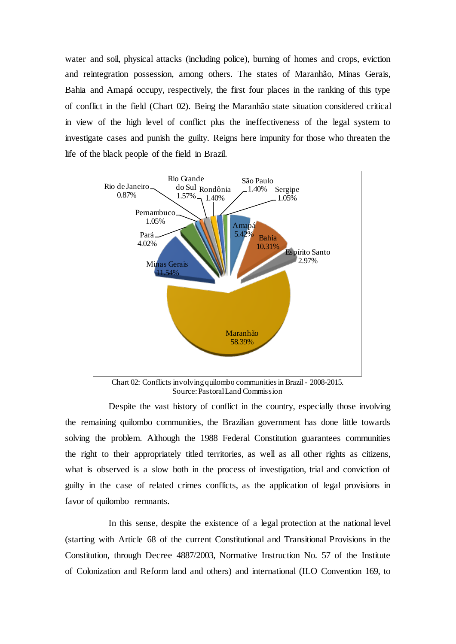water and soil, physical attacks (including police), burning of homes and crops, eviction and reintegration possession, among others. The states of Maranhão, Minas Gerais, Bahia and Amapá occupy, respectively, the first four places in the ranking of this type of conflict in the field (Chart 02). Being the Maranhão state situation considered critical in view of the high level of conflict plus the ineffectiveness of the legal system to investigate cases and punish the guilty. Reigns here impunity for those who threaten the life of the black people of the field in Brazil.



Chart 02: Conflicts involving quilombo communities in Brazil - 2008-2015. Source: Pastoral Land Commission

Despite the vast history of conflict in the country, especially those involving the remaining quilombo communities, the Brazilian government has done little towards solving the problem. Although the 1988 Federal Constitution guarantees communities the right to their appropriately titled territories, as well as all other rights as citizens, what is observed is a slow both in the process of investigation, trial and conviction of guilty in the case of related crimes conflicts, as the application of legal provisions in favor of quilombo remnants.

In this sense, despite the existence of a legal protection at the national level (starting with Article 68 of the current Constitutional and Transitional Provisions in the Constitution, through Decree 4887/2003, Normative Instruction No. 57 of the Institute of Colonization and Reform land and others) and international (ILO Convention 169, to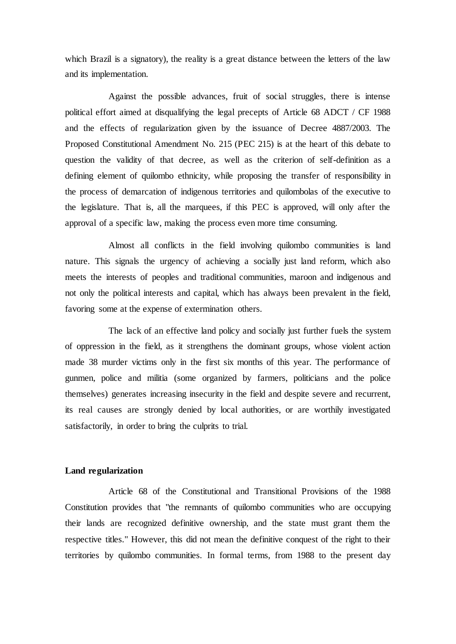which Brazil is a signatory), the reality is a great distance between the letters of the law and its implementation.

Against the possible advances, fruit of social struggles, there is intense political effort aimed at disqualifying the legal precepts of Article 68 ADCT / CF 1988 and the effects of regularization given by the issuance of Decree 4887/2003. The Proposed Constitutional Amendment No. 215 (PEC 215) is at the heart of this debate to question the validity of that decree, as well as the criterion of self-definition as a defining element of quilombo ethnicity, while proposing the transfer of responsibility in the process of demarcation of indigenous territories and quilombolas of the executive to the legislature. That is, all the marquees, if this PEC is approved, will only after the approval of a specific law, making the process even more time consuming.

Almost all conflicts in the field involving quilombo communities is land nature. This signals the urgency of achieving a socially just land reform, which also meets the interests of peoples and traditional communities, maroon and indigenous and not only the political interests and capital, which has always been prevalent in the field, favoring some at the expense of extermination others.

The lack of an effective land policy and socially just further fuels the system of oppression in the field, as it strengthens the dominant groups, whose violent action made 38 murder victims only in the first six months of this year. The performance of gunmen, police and militia (some organized by farmers, politicians and the police themselves) generates increasing insecurity in the field and despite severe and recurrent, its real causes are strongly denied by local authorities, or are worthily investigated satisfactorily, in order to bring the culprits to trial.

# **Land regularization**

Article 68 of the Constitutional and Transitional Provisions of the 1988 Constitution provides that "the remnants of quilombo communities who are occupying their lands are recognized definitive ownership, and the state must grant them the respective titles." However, this did not mean the definitive conquest of the right to their territories by quilombo communities. In formal terms, from 1988 to the present day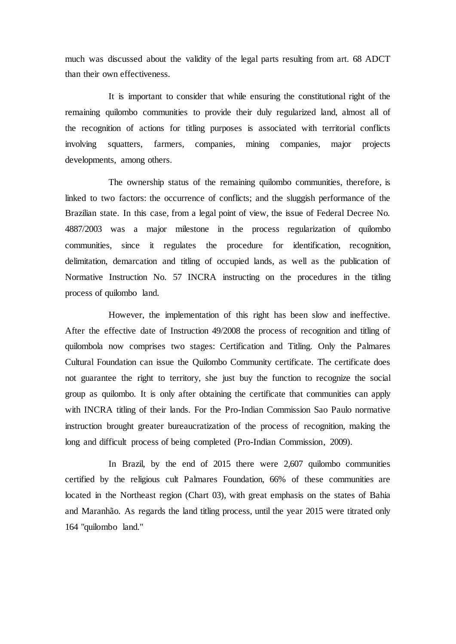much was discussed about the validity of the legal parts resulting from art. 68 ADCT than their own effectiveness.

It is important to consider that while ensuring the constitutional right of the remaining quilombo communities to provide their duly regularized land, almost all of the recognition of actions for titling purposes is associated with territorial conflicts involving squatters, farmers, companies, mining companies, major projects developments, among others.

The ownership status of the remaining quilombo communities, therefore, is linked to two factors: the occurrence of conflicts; and the sluggish performance of the Brazilian state. In this case, from a legal point of view, the issue of Federal Decree No. 4887/2003 was a major milestone in the process regularization of quilombo communities, since it regulates the procedure for identification, recognition, delimitation, demarcation and titling of occupied lands, as well as the publication of Normative Instruction No. 57 INCRA instructing on the procedures in the titling process of quilombo land.

However, the implementation of this right has been slow and ineffective. After the effective date of Instruction 49/2008 the process of recognition and titling of quilombola now comprises two stages: Certification and Titling. Only the Palmares Cultural Foundation can issue the Quilombo Community certificate. The certificate does not guarantee the right to territory, she just buy the function to recognize the social group as quilombo. It is only after obtaining the certificate that communities can apply with INCRA titling of their lands. For the Pro-Indian Commission Sao Paulo normative instruction brought greater bureaucratization of the process of recognition, making the long and difficult process of being completed (Pro-Indian Commission, 2009).

In Brazil, by the end of 2015 there were 2,607 quilombo communities certified by the religious cult Palmares Foundation, 66% of these communities are located in the Northeast region (Chart 03), with great emphasis on the states of Bahia and Maranhão. As regards the land titling process, until the year 2015 were titrated only 164 "quilombo land."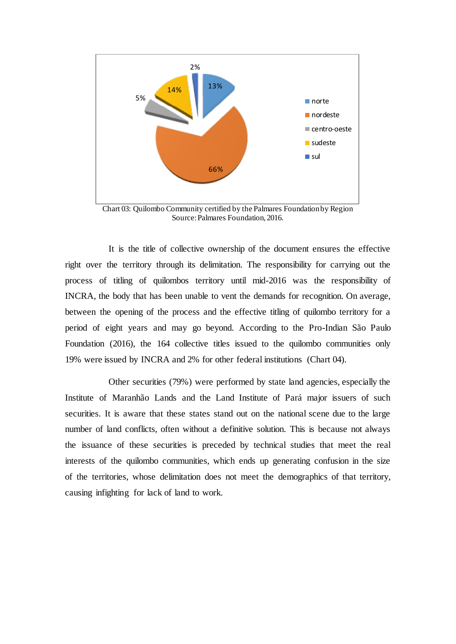

Chart 03: Quilombo Community certified by the Palmares Foundation by Region Source: Palmares Foundation, 2016.

It is the title of collective ownership of the document ensures the effective right over the territory through its delimitation. The responsibility for carrying out the process of titling of quilombos territory until mid-2016 was the responsibility of INCRA, the body that has been unable to vent the demands for recognition. On average, between the opening of the process and the effective titling of quilombo territory for a period of eight years and may go beyond. According to the Pro-Indian São Paulo Foundation (2016), the 164 collective titles issued to the quilombo communities only 19% were issued by INCRA and 2% for other federal institutions (Chart 04).

Other securities (79%) were performed by state land agencies, especially the Institute of Maranhão Lands and the Land Institute of Pará major issuers of such securities. It is aware that these states stand out on the national scene due to the large number of land conflicts, often without a definitive solution. This is because not always the issuance of these securities is preceded by technical studies that meet the real interests of the quilombo communities, which ends up generating confusion in the size of the territories, whose delimitation does not meet the demographics of that territory, causing infighting for lack of land to work.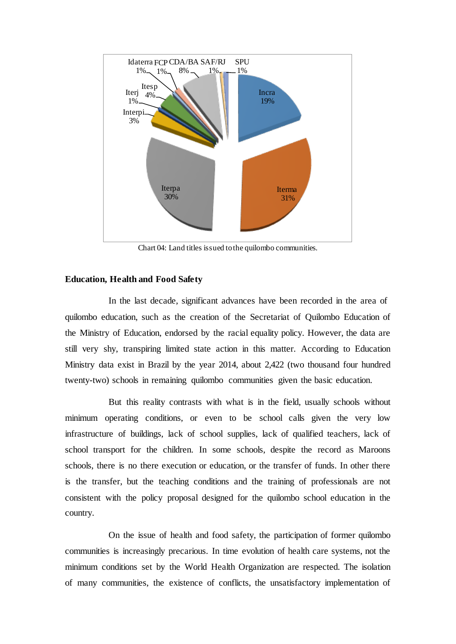

Chart 04: Land titles issued to the quilombo communities.

### **Education, Health and Food Safety**

In the last decade, significant advances have been recorded in the area of quilombo education, such as the creation of the Secretariat of Quilombo Education of the Ministry of Education, endorsed by the racial equality policy. However, the data are still very shy, transpiring limited state action in this matter. According to Education Ministry data exist in Brazil by the year 2014, about 2,422 (two thousand four hundred twenty-two) schools in remaining quilombo communities given the basic education.

But this reality contrasts with what is in the field, usually schools without minimum operating conditions, or even to be school calls given the very low infrastructure of buildings, lack of school supplies, lack of qualified teachers, lack of school transport for the children. In some schools, despite the record as Maroons schools, there is no there execution or education, or the transfer of funds. In other there is the transfer, but the teaching conditions and the training of professionals are not consistent with the policy proposal designed for the quilombo school education in the country.

On the issue of health and food safety, the participation of former quilombo communities is increasingly precarious. In time evolution of health care systems, not the minimum conditions set by the World Health Organization are respected. The isolation of many communities, the existence of conflicts, the unsatisfactory implementation of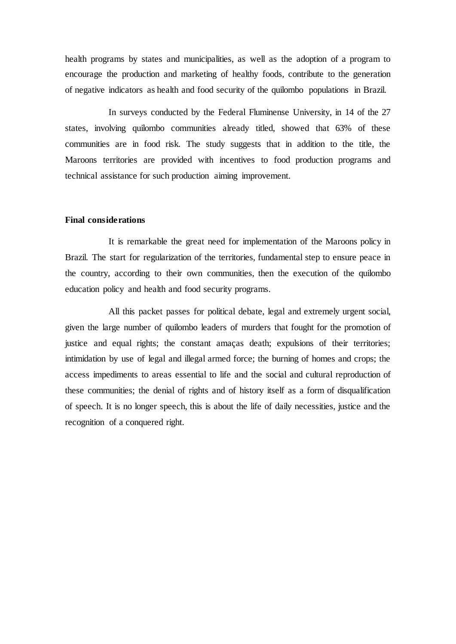health programs by states and municipalities, as well as the adoption of a program to encourage the production and marketing of healthy foods, contribute to the generation of negative indicators as health and food security of the quilombo populations in Brazil.

In surveys conducted by the Federal Fluminense University, in 14 of the 27 states, involving quilombo communities already titled, showed that 63% of these communities are in food risk. The study suggests that in addition to the title, the Maroons territories are provided with incentives to food production programs and technical assistance for such production aiming improvement.

#### **Final considerations**

It is remarkable the great need for implementation of the Maroons policy in Brazil. The start for regularization of the territories, fundamental step to ensure peace in the country, according to their own communities, then the execution of the quilombo education policy and health and food security programs.

All this packet passes for political debate, legal and extremely urgent social, given the large number of quilombo leaders of murders that fought for the promotion of justice and equal rights; the constant amaças death; expulsions of their territories; intimidation by use of legal and illegal armed force; the burning of homes and crops; the access impediments to areas essential to life and the social and cultural reproduction of these communities; the denial of rights and of history itself as a form of disqualification of speech. It is no longer speech, this is about the life of daily necessities, justice and the recognition of a conquered right.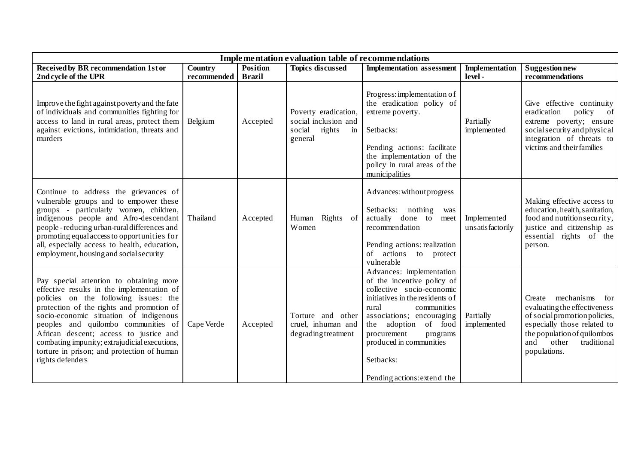| <b>Implementation evaluation table of recommendations</b>                                                                                                                                                                                                                                                                                                                                                                 |                               |                                  |                                                                                   |                                                                                                                                                                                                                                                                                                          |                                 |                                                                                                                                                                                                           |  |  |  |  |
|---------------------------------------------------------------------------------------------------------------------------------------------------------------------------------------------------------------------------------------------------------------------------------------------------------------------------------------------------------------------------------------------------------------------------|-------------------------------|----------------------------------|-----------------------------------------------------------------------------------|----------------------------------------------------------------------------------------------------------------------------------------------------------------------------------------------------------------------------------------------------------------------------------------------------------|---------------------------------|-----------------------------------------------------------------------------------------------------------------------------------------------------------------------------------------------------------|--|--|--|--|
| Received by BR recommendation 1st or<br>2nd cycle of the UPR                                                                                                                                                                                                                                                                                                                                                              | <b>Country</b><br>recommended | <b>Position</b><br><b>Brazil</b> | <b>Topics discussed</b>                                                           | <b>Implementation</b> assessment                                                                                                                                                                                                                                                                         | <b>Implementation</b><br>level- | <b>Suggestion new</b><br>recommendations                                                                                                                                                                  |  |  |  |  |
| Improve the fight against poverty and the fate<br>of individuals and communities fighting for<br>access to land in rural areas, protect them<br>against evictions, intimidation, threats and<br>murders                                                                                                                                                                                                                   | Belgium                       | Accepted                         | Poverty eradication,<br>social inclusion and<br>social<br>rights<br>in<br>general | Progress: implementation of<br>the eradication policy of<br>extreme poverty.<br>Setbacks:<br>Pending actions: facilitate<br>the implementation of the<br>policy in rural areas of the<br>municipalities                                                                                                  | Partially<br>implemented        | Give effective continuity<br>eradication<br>policy<br>of<br>extreme poverty; ensure<br>social security and physical<br>integration of threats to<br>victims and their families                            |  |  |  |  |
| Continue to address the grievances of<br>vulnerable groups and to empower these<br>groups - particularly women, children,<br>indigenous people and Afro-descendant<br>people - reducing urban-rural differences and<br>promoting equal access to opportunities for<br>all, especially access to health, education,<br>employment, housing and social security                                                             | Thailand                      | Accepted                         | Rights of<br>Human<br>Women                                                       | Advances: without progress<br>Setbacks: nothing<br>was<br>actually done to<br>meet<br>recommendation<br>Pending actions: realization<br>of actions to protect<br>vulnerable                                                                                                                              | Implemented<br>unsatisfactorily | Making effective access to<br>education, health, sanitation,<br>food and nutrition security,<br>justice and citizenship as<br>essential rights of the<br>person.                                          |  |  |  |  |
| Pay special attention to obtaining more<br>effective results in the implementation of<br>policies on the following issues: the<br>protection of the rights and promotion of<br>socio-economic situation of indigenous<br>peoples and quilombo communities of<br>African descent; access to justice and<br>combating impunity; extrajudicial executions,<br>torture in prison; and protection of human<br>rights defenders | Cape Verde                    | Accepted                         | Torture and other<br>cruel, inhuman and<br>degrading treatment                    | Advances: implementation<br>of the incentive policy of<br>collective socio-economic<br>initiatives in the residents of<br>rural<br>communities<br>associations; encouraging<br>adoption of food<br>the<br>procurement<br>programs<br>produced in communities<br>Setbacks:<br>Pending actions: extend the | Partially<br>implemented        | mechanisms<br>Create<br>for<br>evaluating the effectiveness<br>of social promotion policies,<br>especially those related to<br>the population of quilombos<br>other<br>traditional<br>and<br>populations. |  |  |  |  |